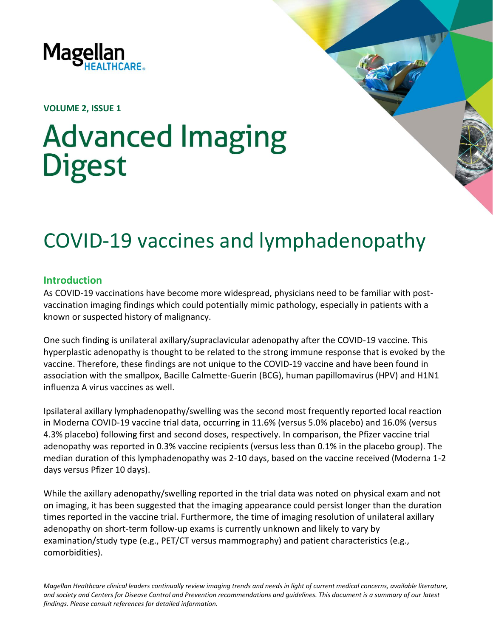

**VOLUME 2, ISSUE 1**

# **Advanced Imaging Digest**

# COVID-19 vaccines and lymphadenopathy

### **Introduction**

As COVID-19 vaccinations have become more widespread, physicians need to be familiar with postvaccination imaging findings which could potentially mimic pathology, especially in patients with a known or suspected history of malignancy.

One such finding is unilateral axillary/supraclavicular adenopathy after the COVID-19 vaccine. This hyperplastic adenopathy is thought to be related to the strong immune response that is evoked by the vaccine. Therefore, these findings are not unique to the COVID-19 vaccine and have been found in association with the smallpox, Bacille Calmette-Guerin (BCG), human papillomavirus (HPV) and H1N1 influenza A virus vaccines as well.

Ipsilateral axillary lymphadenopathy/swelling was the second most frequently reported local reaction in Moderna COVID-19 vaccine trial data, occurring in 11.6% (versus 5.0% placebo) and 16.0% (versus 4.3% placebo) following first and second doses, respectively. In comparison, the Pfizer vaccine trial adenopathy was reported in 0.3% vaccine recipients (versus less than 0.1% in the placebo group). The median duration of this lymphadenopathy was 2-10 days, based on the vaccine received (Moderna 1-2 days versus Pfizer 10 days).

While the axillary adenopathy/swelling reported in the trial data was noted on physical exam and not on imaging, it has been suggested that the imaging appearance could persist longer than the duration times reported in the vaccine trial. Furthermore, the time of imaging resolution of unilateral axillary adenopathy on short-term follow-up exams is currently unknown and likely to vary by examination/study type (e.g., PET/CT versus mammography) and patient characteristics (e.g., comorbidities).

*Magellan Healthcare clinical leaders continually review imaging trends and needs in light of current medical concerns, available literature, and society and Centers for Disease Control and Prevention recommendations and guidelines. This document is a summary of our latest findings. Please consult references for detailed information.*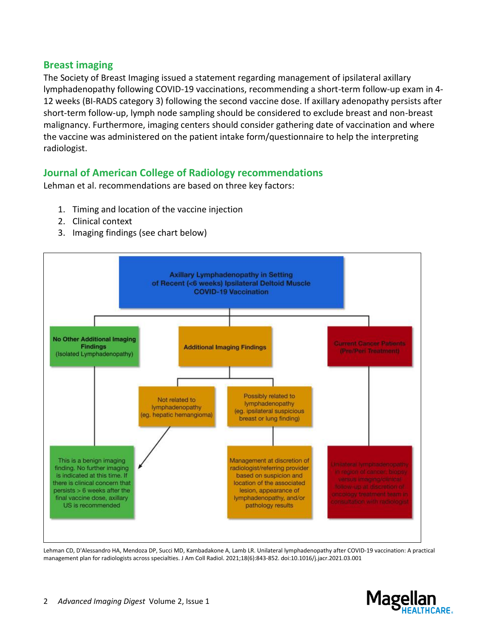# **Breast imaging**

The Society of Breast Imaging issued a statement regarding management of ipsilateral axillary lymphadenopathy following COVID-19 vaccinations, recommending a short-term follow-up exam in 4- 12 weeks (BI-RADS category 3) following the second vaccine dose. If axillary adenopathy persists after short-term follow-up, lymph node sampling should be considered to exclude breast and non-breast malignancy. Furthermore, imaging centers should consider gathering date of vaccination and where the vaccine was administered on the patient intake form/questionnaire to help the interpreting radiologist.

# **Journal of American College of Radiology recommendations**

Lehman et al. recommendations are based on three key factors:

- 1. Timing and location of the vaccine injection
- 2. Clinical context
- 3. Imaging findings (see chart below)



Lehman CD, D'Alessandro HA, Mendoza DP, Succi MD, Kambadakone A, Lamb LR. Unilateral lymphadenopathy after COVID-19 vaccination: A practical management plan for radiologists across specialties. J Am Coll Radiol. 2021;18(6):843-852. doi:10.1016/j.jacr.2021.03.001

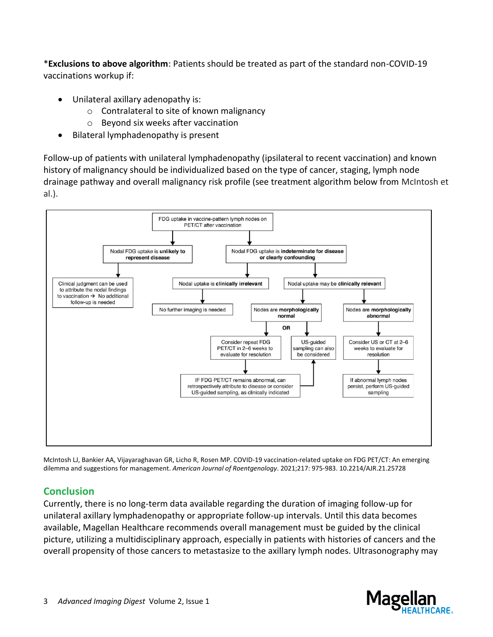\***Exclusions to above algorithm**: Patients should be treated as part of the standard non-COVID-19 vaccinations workup if:

- Unilateral axillary adenopathy is:
	- o Contralateral to site of known malignancy
	- o Beyond six weeks after vaccination
- Bilateral lymphadenopathy is present

Follow-up of patients with unilateral lymphadenopathy (ipsilateral to recent vaccination) and known history of malignancy should be individualized based on the type of cancer, staging, lymph node drainage pathway and overall malignancy risk profile (see treatment algorithm below from McIntosh et al.).



McIntosh LJ, Bankier AA, Vijayaraghavan GR, Licho R, Rosen MP. COVID-19 vaccination-related uptake on FDG PET/CT: An emerging dilemma and suggestions for management. *American Journal of Roentgenology*. 2021;217: 975-983. 10.2214/AJR.21.25728

# **Conclusion**

Currently, there is no long-term data available regarding the duration of imaging follow-up for unilateral axillary lymphadenopathy or appropriate follow-up intervals. Until this data becomes available, Magellan Healthcare recommends overall management must be guided by the clinical picture, utilizing a multidisciplinary approach, especially in patients with histories of cancers and the overall propensity of those cancers to metastasize to the axillary lymph nodes. Ultrasonography may

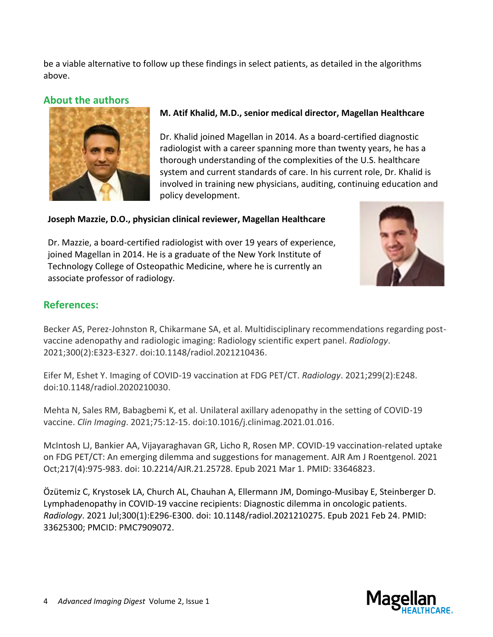be a viable alternative to follow up these findings in select patients, as detailed in the algorithms above.

# **About the authors**



## **M. Atif Khalid, M.D., senior medical director, Magellan Healthcare**

Dr. Khalid joined Magellan in 2014. As a board-certified diagnostic radiologist with a career spanning more than twenty years, he has a thorough understanding of the complexities of the U.S. healthcare system and current standards of care. In his current role, Dr. Khalid is involved in training new physicians, auditing, continuing education and policy development.

#### **Joseph Mazzie, D.O., physician clinical reviewer, Magellan Healthcare**

Dr. Mazzie, a board-certified radiologist with over 19 years of experience, joined Magellan in 2014. He is a graduate of the New York Institute of Technology College of Osteopathic Medicine, where he is currently an associate professor of radiology.



# **References:**

Becker AS, Perez-Johnston R, Chikarmane SA, et al. Multidisciplinary recommendations regarding postvaccine adenopathy and radiologic imaging: Radiology scientific expert panel. *Radiology*. 2021;300(2):E323-E327. doi:10.1148/radiol.2021210436.

Eifer M, Eshet Y. Imaging of COVID-19 vaccination at FDG PET/CT. *Radiology*. 2021;299(2):E248. doi:10.1148/radiol.2020210030.

Mehta N, Sales RM, Babagbemi K, et al. Unilateral axillary adenopathy in the setting of COVID-19 vaccine. *Clin Imaging*. 2021;75:12-15. doi:10.1016/j.clinimag.2021.01.016.

McIntosh LJ, Bankier AA, Vijayaraghavan GR, Licho R, Rosen MP. COVID-19 vaccination-related uptake on FDG PET/CT: An emerging dilemma and suggestions for management. AJR Am J Roentgenol. 2021 Oct;217(4):975-983. doi: 10.2214/AJR.21.25728. Epub 2021 Mar 1. PMID: 33646823.

Özütemiz C, Krystosek LA, Church AL, Chauhan A, Ellermann JM, Domingo-Musibay E, Steinberger D. Lymphadenopathy in COVID-19 vaccine recipients: Diagnostic dilemma in oncologic patients. *Radiology*. 2021 Jul;300(1):E296-E300. doi: 10.1148/radiol.2021210275. Epub 2021 Feb 24. PMID: 33625300; PMCID: PMC7909072.